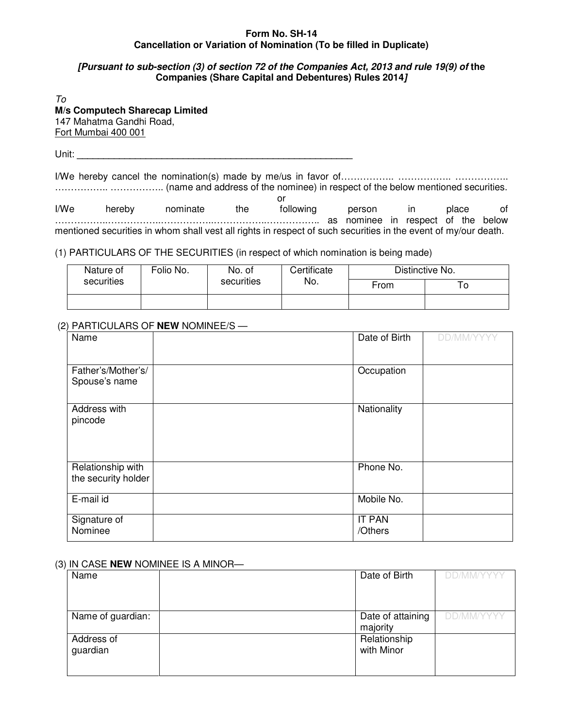## **Form No. SH-14 Cancellation or Variation of Nomination (To be filled in Duplicate)**

#### **[Pursuant to sub-section (3) of section 72 of the Companies Act, 2013 and rule 19(9) of the Companies (Share Capital and Debentures) Rules 2014]**

To **M/s Computech Sharecap Limited**  147 Mahatma Gandhi Road, Fort Mumbai 400 001

Unit: **\_\_\_\_\_\_\_\_\_\_\_\_\_\_\_\_\_\_\_\_\_\_\_\_\_\_\_\_\_\_\_\_\_\_\_\_\_\_\_\_\_\_\_\_\_\_\_\_\_\_\_\_**

I/We hereby cancel the nomination(s) made by me/us in favor of……………. …………………………… …………….. …………….. (name and address of the nominee) in respect of the below mentioned securities.

or I/We hereby nominate the following person in place of ……………..……………..……………..……………..…………….. as nominee in respect of the below mentioned securities in whom shall vest all rights in respect of such securities in the event of my/our death.

(1) PARTICULARS OF THE SECURITIES (in respect of which nomination is being made)

| Nature of  | Folio No.  | No. of | Certificate | Distinctive No. |  |
|------------|------------|--------|-------------|-----------------|--|
| securities | securities | No.    | From        | O               |  |
|            |            |        |             |                 |  |

# (2) PARTICULARS OF **NEW** NOMINEE/S —

| Name                                     | Date of Birth            | <b>DD/MM/YYY</b> |
|------------------------------------------|--------------------------|------------------|
| Father's/Mother's/<br>Spouse's name      | Occupation               |                  |
| Address with<br>pincode                  | Nationality              |                  |
| Relationship with<br>the security holder | Phone No.                |                  |
| E-mail id                                | Mobile No.               |                  |
| Signature of<br>Nominee                  | <b>IT PAN</b><br>/Others |                  |

### (3) IN CASE **NEW** NOMINEE IS A MINOR—

| Name                   | Date of Birth                 | <b>DD/MM/YYYY</b> |
|------------------------|-------------------------------|-------------------|
| Name of guardian:      | Date of attaining<br>majority | DD/MM/YYYY        |
| Address of<br>guardian | Relationship<br>with Minor    |                   |